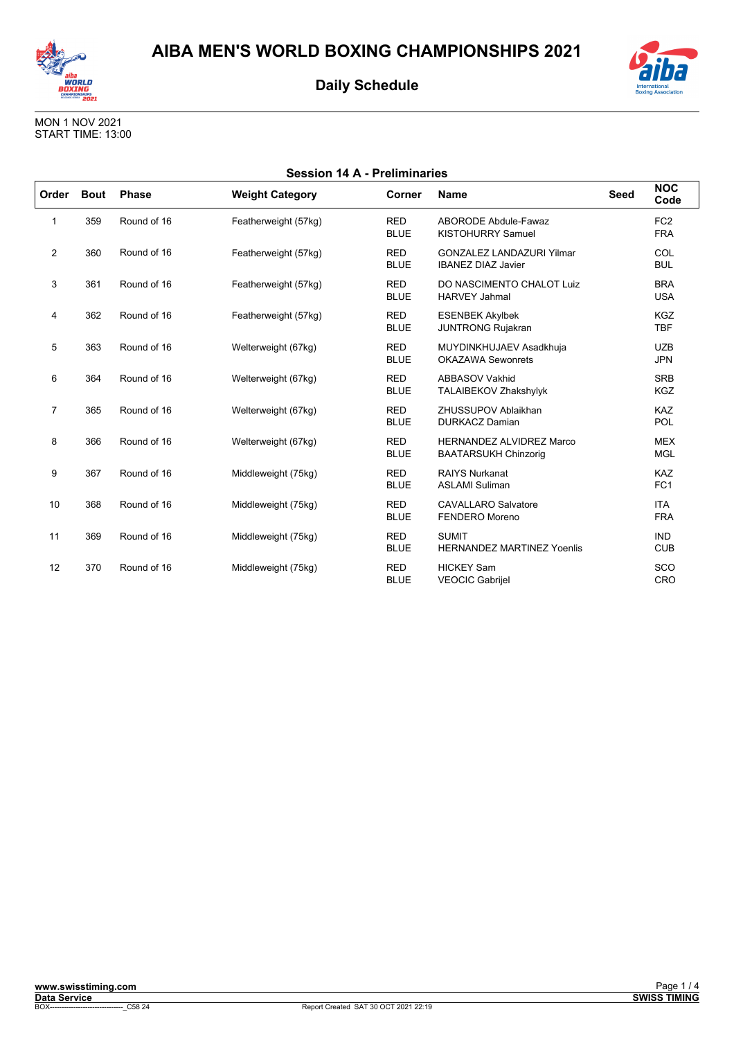



MON 1 NOV 2021 START TIME: 13:00

| <b>Session 14 A - Preliminaries</b> |             |              |                        |                           |                                                                |      |                               |  |
|-------------------------------------|-------------|--------------|------------------------|---------------------------|----------------------------------------------------------------|------|-------------------------------|--|
| Order                               | <b>Bout</b> | <b>Phase</b> | <b>Weight Category</b> | Corner                    | <b>Name</b>                                                    | Seed | <b>NOC</b><br>Code            |  |
| 1                                   | 359         | Round of 16  | Featherweight (57kg)   | <b>RED</b><br><b>BLUE</b> | ABORODE Abdule-Fawaz<br><b>KISTOHURRY Samuel</b>               |      | FC <sub>2</sub><br><b>FRA</b> |  |
| $\overline{2}$                      | 360         | Round of 16  | Featherweight (57kg)   | <b>RED</b><br><b>BLUE</b> | <b>GONZALEZ LANDAZURI Yilmar</b><br><b>IBANEZ DIAZ Javier</b>  |      | COL<br><b>BUL</b>             |  |
| 3                                   | 361         | Round of 16  | Featherweight (57kg)   | <b>RED</b><br><b>BLUE</b> | DO NASCIMENTO CHALOT Luiz<br><b>HARVEY Jahmal</b>              |      | <b>BRA</b><br><b>USA</b>      |  |
| 4                                   | 362         | Round of 16  | Featherweight (57kg)   | <b>RED</b><br><b>BLUE</b> | <b>ESENBEK Akylbek</b><br><b>JUNTRONG Rujakran</b>             |      | <b>KGZ</b><br><b>TBF</b>      |  |
| 5                                   | 363         | Round of 16  | Welterweight (67kg)    | <b>RED</b><br><b>BLUE</b> | MUYDINKHUJAEV Asadkhuja<br><b>OKAZAWA Sewonrets</b>            |      | <b>UZB</b><br><b>JPN</b>      |  |
| 6                                   | 364         | Round of 16  | Welterweight (67kg)    | <b>RED</b><br><b>BLUE</b> | <b>ABBASOV Vakhid</b><br>TALAIBEKOV Zhakshylyk                 |      | <b>SRB</b><br><b>KGZ</b>      |  |
| $\overline{7}$                      | 365         | Round of 16  | Welterweight (67kg)    | <b>RED</b><br><b>BLUE</b> | ZHUSSUPOV Ablaikhan<br><b>DURKACZ Damian</b>                   |      | <b>KAZ</b><br>POL             |  |
| 8                                   | 366         | Round of 16  | Welterweight (67kg)    | <b>RED</b><br><b>BLUE</b> | <b>HERNANDEZ ALVIDREZ Marco</b><br><b>BAATARSUKH Chinzorig</b> |      | <b>MEX</b><br><b>MGL</b>      |  |
| 9                                   | 367         | Round of 16  | Middleweight (75kg)    | <b>RED</b><br><b>BLUE</b> | <b>RAIYS Nurkanat</b><br><b>ASLAMI Suliman</b>                 |      | KAZ<br>FC <sub>1</sub>        |  |
| 10                                  | 368         | Round of 16  | Middleweight (75kg)    | <b>RED</b><br><b>BLUE</b> | <b>CAVALLARO Salvatore</b><br><b>FENDERO</b> Moreno            |      | <b>ITA</b><br><b>FRA</b>      |  |
| 11                                  | 369         | Round of 16  | Middleweight (75kg)    | <b>RED</b><br><b>BLUE</b> | <b>SUMIT</b><br><b>HERNANDEZ MARTINEZ Yoenlis</b>              |      | <b>IND</b><br><b>CUB</b>      |  |
| 12                                  | 370         | Round of 16  | Middleweight (75kg)    | <b>RED</b><br><b>BLUE</b> | <b>HICKEY Sam</b><br><b>VEOCIC Gabrijel</b>                    |      | SCO<br>CRO                    |  |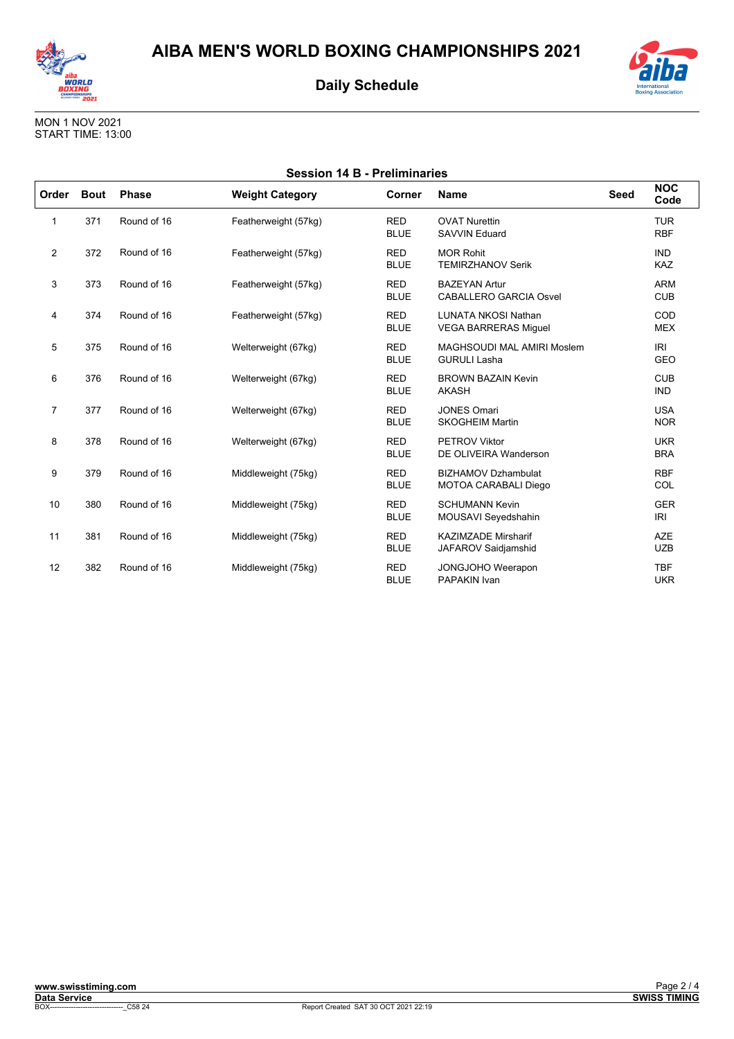



MON 1 NOV 2021 START TIME: 13:00

| <b>Session 14 B - Preliminaries</b> |             |              |                        |                           |                                                           |             |                          |  |
|-------------------------------------|-------------|--------------|------------------------|---------------------------|-----------------------------------------------------------|-------------|--------------------------|--|
| Order                               | <b>Bout</b> | <b>Phase</b> | <b>Weight Category</b> | Corner                    | <b>Name</b>                                               | <b>Seed</b> | <b>NOC</b><br>Code       |  |
| 1                                   | 371         | Round of 16  | Featherweight (57kg)   | <b>RED</b><br><b>BLUE</b> | <b>OVAT Nurettin</b><br><b>SAVVIN Eduard</b>              |             | <b>TUR</b><br><b>RBF</b> |  |
| $\overline{2}$                      | 372         | Round of 16  | Featherweight (57kg)   | <b>RED</b><br><b>BLUE</b> | <b>MOR Rohit</b><br><b>TEMIRZHANOV Serik</b>              |             | <b>IND</b><br><b>KAZ</b> |  |
| 3                                   | 373         | Round of 16  | Featherweight (57kg)   | <b>RED</b><br><b>BLUE</b> | <b>BAZEYAN Artur</b><br><b>CABALLERO GARCIA Osvel</b>     |             | <b>ARM</b><br><b>CUB</b> |  |
| 4                                   | 374         | Round of 16  | Featherweight (57kg)   | <b>RED</b><br><b>BLUE</b> | <b>LUNATA NKOSI Nathan</b><br><b>VEGA BARRERAS Miquel</b> |             | COD<br><b>MEX</b>        |  |
| 5                                   | 375         | Round of 16  | Welterweight (67kg)    | <b>RED</b><br><b>BLUE</b> | MAGHSOUDI MAL AMIRI Moslem<br><b>GURULI Lasha</b>         |             | IRI<br><b>GEO</b>        |  |
| 6                                   | 376         | Round of 16  | Welterweight (67kg)    | <b>RED</b><br><b>BLUE</b> | <b>BROWN BAZAIN Kevin</b><br><b>AKASH</b>                 |             | <b>CUB</b><br><b>IND</b> |  |
| $\overline{7}$                      | 377         | Round of 16  | Welterweight (67kg)    | <b>RED</b><br><b>BLUE</b> | <b>JONES Omari</b><br><b>SKOGHEIM Martin</b>              |             | <b>USA</b><br><b>NOR</b> |  |
| 8                                   | 378         | Round of 16  | Welterweight (67kg)    | <b>RED</b><br><b>BLUE</b> | <b>PETROV Viktor</b><br>DE OLIVEIRA Wanderson             |             | <b>UKR</b><br><b>BRA</b> |  |
| 9                                   | 379         | Round of 16  | Middleweight (75kg)    | <b>RED</b><br><b>BLUE</b> | <b>BIZHAMOV Dzhambulat</b><br>MOTOA CARABALI Diego        |             | <b>RBF</b><br>COL        |  |
| 10                                  | 380         | Round of 16  | Middleweight (75kg)    | <b>RED</b><br><b>BLUE</b> | <b>SCHUMANN Kevin</b><br>MOUSAVI Seyedshahin              |             | <b>GER</b><br><b>IRI</b> |  |
| 11                                  | 381         | Round of 16  | Middleweight (75kg)    | <b>RED</b><br><b>BLUE</b> | <b>KAZIMZADE Mirsharif</b><br>JAFAROV Saidjamshid         |             | <b>AZE</b><br><b>UZB</b> |  |
| 12                                  | 382         | Round of 16  | Middleweight (75kg)    | <b>RED</b><br><b>BLUE</b> | JONGJOHO Weerapon<br><b>PAPAKIN Ivan</b>                  |             | <b>TBF</b><br><b>UKR</b> |  |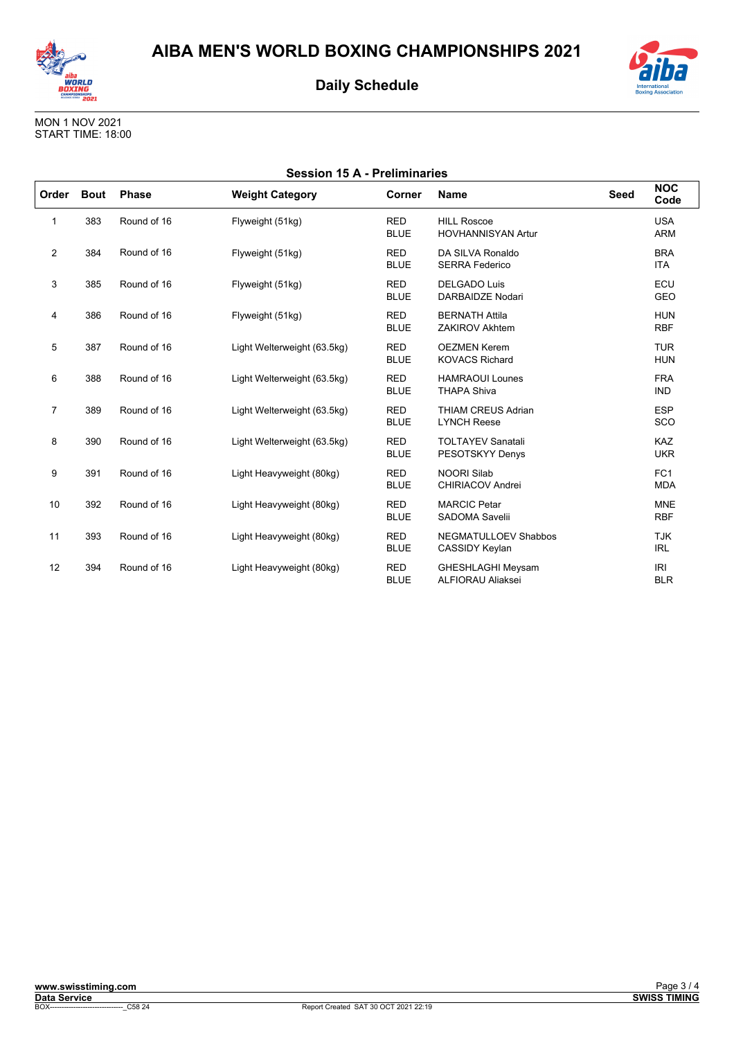



MON 1 NOV 2021<br>START TIME: 18:00

| <b>Session 15 A - Preliminaries</b> |             |              |                             |                           |                                                      |             |                               |  |
|-------------------------------------|-------------|--------------|-----------------------------|---------------------------|------------------------------------------------------|-------------|-------------------------------|--|
| Order                               | <b>Bout</b> | <b>Phase</b> | <b>Weight Category</b>      | Corner                    | <b>Name</b>                                          | <b>Seed</b> | <b>NOC</b><br>Code            |  |
| 1                                   | 383         | Round of 16  | Flyweight (51kg)            | <b>RED</b><br><b>BLUE</b> | <b>HILL Roscoe</b><br><b>HOVHANNISYAN Artur</b>      |             | <b>USA</b><br><b>ARM</b>      |  |
| $\overline{2}$                      | 384         | Round of 16  | Flyweight (51kg)            | <b>RED</b><br><b>BLUE</b> | DA SILVA Ronaldo<br><b>SERRA Federico</b>            |             | <b>BRA</b><br><b>ITA</b>      |  |
| 3                                   | 385         | Round of 16  | Flyweight (51kg)            | <b>RED</b><br><b>BLUE</b> | <b>DELGADO Luis</b><br><b>DARBAIDZE Nodari</b>       |             | ECU<br>GEO                    |  |
| 4                                   | 386         | Round of 16  | Flyweight (51kg)            | <b>RED</b><br><b>BLUE</b> | <b>BERNATH Attila</b><br><b>ZAKIROV Akhtem</b>       |             | <b>HUN</b><br><b>RBF</b>      |  |
| 5                                   | 387         | Round of 16  | Light Welterweight (63.5kg) | <b>RED</b><br><b>BLUE</b> | <b>OEZMEN Kerem</b><br><b>KOVACS Richard</b>         |             | <b>TUR</b><br><b>HUN</b>      |  |
| 6                                   | 388         | Round of 16  | Light Welterweight (63.5kg) | <b>RED</b><br><b>BLUE</b> | <b>HAMRAOUI Lounes</b><br><b>THAPA Shiva</b>         |             | <b>FRA</b><br><b>IND</b>      |  |
| $\overline{7}$                      | 389         | Round of 16  | Light Welterweight (63.5kg) | <b>RED</b><br><b>BLUE</b> | <b>THIAM CREUS Adrian</b><br><b>LYNCH Reese</b>      |             | <b>ESP</b><br>SCO             |  |
| 8                                   | 390         | Round of 16  | Light Welterweight (63.5kg) | <b>RED</b><br><b>BLUE</b> | <b>TOLTAYEV Sanatali</b><br>PESOTSKYY Denys          |             | <b>KAZ</b><br><b>UKR</b>      |  |
| 9                                   | 391         | Round of 16  | Light Heavyweight (80kg)    | <b>RED</b><br><b>BLUE</b> | <b>NOORI Silab</b><br><b>CHIRIACOV Andrei</b>        |             | FC <sub>1</sub><br><b>MDA</b> |  |
| 10                                  | 392         | Round of 16  | Light Heavyweight (80kg)    | <b>RED</b><br><b>BLUE</b> | <b>MARCIC Petar</b><br><b>SADOMA Savelii</b>         |             | <b>MNE</b><br><b>RBF</b>      |  |
| 11                                  | 393         | Round of 16  | Light Heavyweight (80kg)    | <b>RED</b><br><b>BLUE</b> | NEGMATULLOEV Shabbos<br>CASSIDY Keylan               |             | <b>TJK</b><br><b>IRL</b>      |  |
| 12                                  | 394         | Round of 16  | Light Heavyweight (80kg)    | <b>RED</b><br><b>BLUE</b> | <b>GHESHLAGHI Meysam</b><br><b>ALFIORAU Aliaksei</b> |             | <b>IRI</b><br><b>BLR</b>      |  |